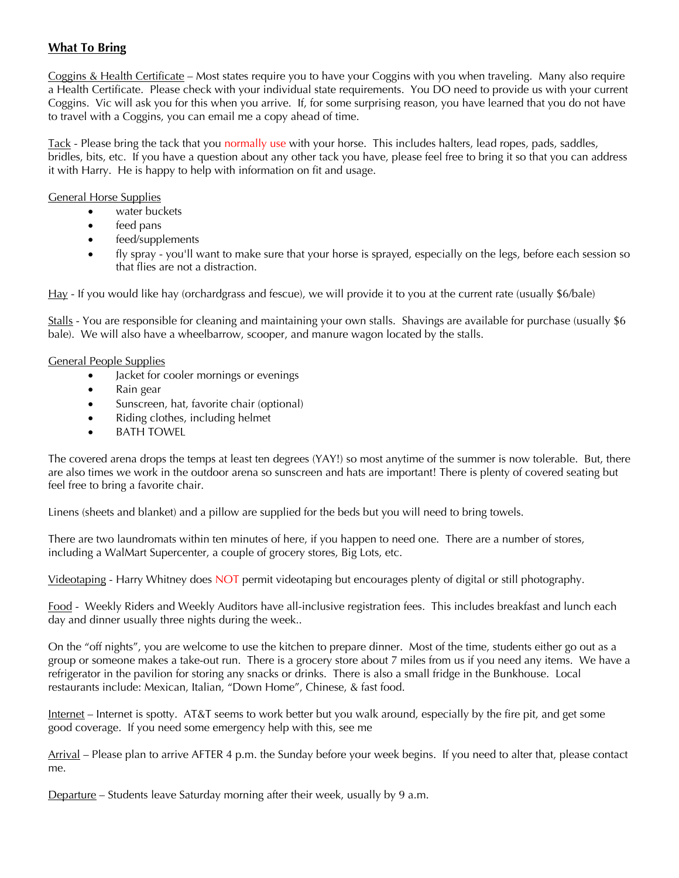## **What To Bring**

Coggins & Health Certificate – Most states require you to have your Coggins with you when traveling. Many also require a Health Certificate. Please check with your individual state requirements. You DO need to provide us with your current Coggins. Vic will ask you for this when you arrive. If, for some surprising reason, you have learned that you do not have to travel with a Coggins, you can email me a copy ahead of time.

Tack - Please bring the tack that you normally use with your horse. This includes halters, lead ropes, pads, saddles, bridles, bits, etc. If you have a question about any other tack you have, please feel free to bring it so that you can address it with Harry. He is happy to help with information on fit and usage.

#### General Horse Supplies

- water buckets
- feed pans
- feed/supplements
- fly spray you'll want to make sure that your horse is sprayed, especially on the legs, before each session so that flies are not a distraction.

Hay - If you would like hay (orchardgrass and fescue), we will provide it to you at the current rate (usually \$6/bale)

Stalls - You are responsible for cleaning and maintaining your own stalls. Shavings are available for purchase (usually \$6 bale). We will also have a wheelbarrow, scooper, and manure wagon located by the stalls.

#### General People Supplies

- Jacket for cooler mornings or evenings
- Rain gear
- Sunscreen, hat, favorite chair (optional)
- Riding clothes, including helmet
- **BATH TOWEL**

The covered arena drops the temps at least ten degrees (YAY!) so most anytime of the summer is now tolerable. But, there are also times we work in the outdoor arena so sunscreen and hats are important! There is plenty of covered seating but feel free to bring a favorite chair.

Linens (sheets and blanket) and a pillow are supplied for the beds but you will need to bring towels.

There are two laundromats within ten minutes of here, if you happen to need one. There are a number of stores, including a WalMart Supercenter, a couple of grocery stores, Big Lots, etc.

Videotaping - Harry Whitney does NOT permit videotaping but encourages plenty of digital or still photography.

Food - Weekly Riders and Weekly Auditors have all-inclusive registration fees. This includes breakfast and lunch each day and dinner usually three nights during the week..

On the "off nights", you are welcome to use the kitchen to prepare dinner. Most of the time, students either go out as a group or someone makes a take-out run. There is a grocery store about 7 miles from us if you need any items. We have a refrigerator in the pavilion for storing any snacks or drinks. There is also a small fridge in the Bunkhouse. Local restaurants include: Mexican, Italian, "Down Home", Chinese, & fast food.

Internet – Internet is spotty. AT&T seems to work better but you walk around, especially by the fire pit, and get some good coverage. If you need some emergency help with this, see me

Arrival – Please plan to arrive AFTER 4 p.m. the Sunday before your week begins. If you need to alter that, please contact me.

Departure – Students leave Saturday morning after their week, usually by 9 a.m.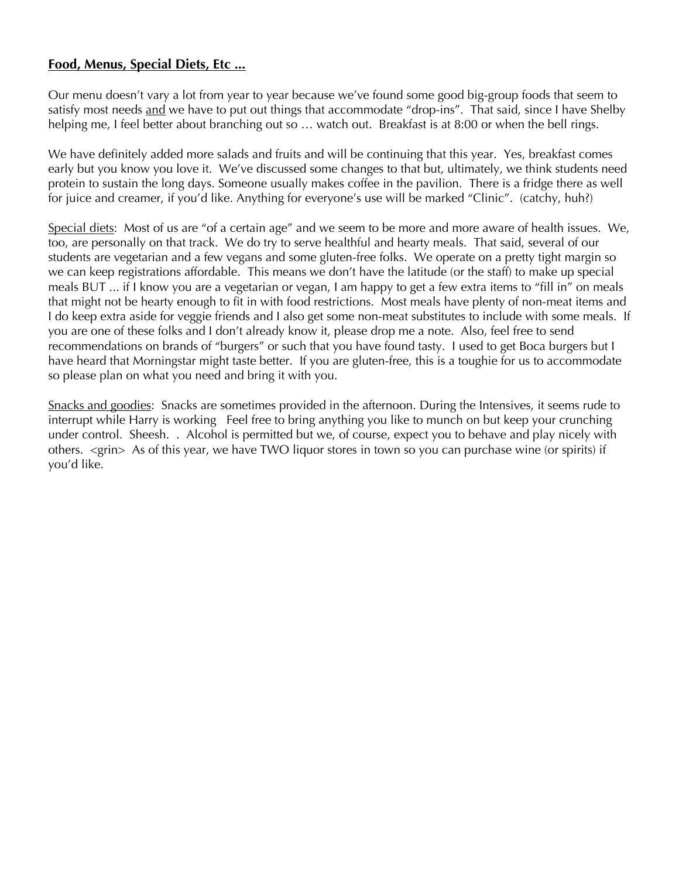# **Food, Menus, Special Diets, Etc ...**

Our menu doesn't vary a lot from year to year because we've found some good big-group foods that seem to satisfy most needs and we have to put out things that accommodate "drop-ins". That said, since I have Shelby helping me, I feel better about branching out so ... watch out. Breakfast is at 8:00 or when the bell rings.

We have definitely added more salads and fruits and will be continuing that this year. Yes, breakfast comes early but you know you love it. We've discussed some changes to that but, ultimately, we think students need protein to sustain the long days. Someone usually makes coffee in the pavilion. There is a fridge there as well for juice and creamer, if you'd like. Anything for everyone's use will be marked "Clinic". (catchy, huh?)

Special diets: Most of us are "of a certain age" and we seem to be more and more aware of health issues. We, too, are personally on that track. We do try to serve healthful and hearty meals. That said, several of our students are vegetarian and a few vegans and some gluten-free folks. We operate on a pretty tight margin so we can keep registrations affordable. This means we don't have the latitude (or the staff) to make up special meals BUT ... if I know you are a vegetarian or vegan, I am happy to get a few extra items to "fill in" on meals that might not be hearty enough to fit in with food restrictions. Most meals have plenty of non-meat items and I do keep extra aside for veggie friends and I also get some non-meat substitutes to include with some meals. If you are one of these folks and I don't already know it, please drop me a note. Also, feel free to send recommendations on brands of "burgers" or such that you have found tasty. I used to get Boca burgers but I have heard that Morningstar might taste better. If you are gluten-free, this is a toughie for us to accommodate so please plan on what you need and bring it with you.

Snacks and goodies: Snacks are sometimes provided in the afternoon. During the Intensives, it seems rude to interrupt while Harry is working Feel free to bring anything you like to munch on but keep your crunching under control. Sheesh. . Alcohol is permitted but we, of course, expect you to behave and play nicely with others. <grin> As of this year, we have TWO liquor stores in town so you can purchase wine (or spirits) if you'd like.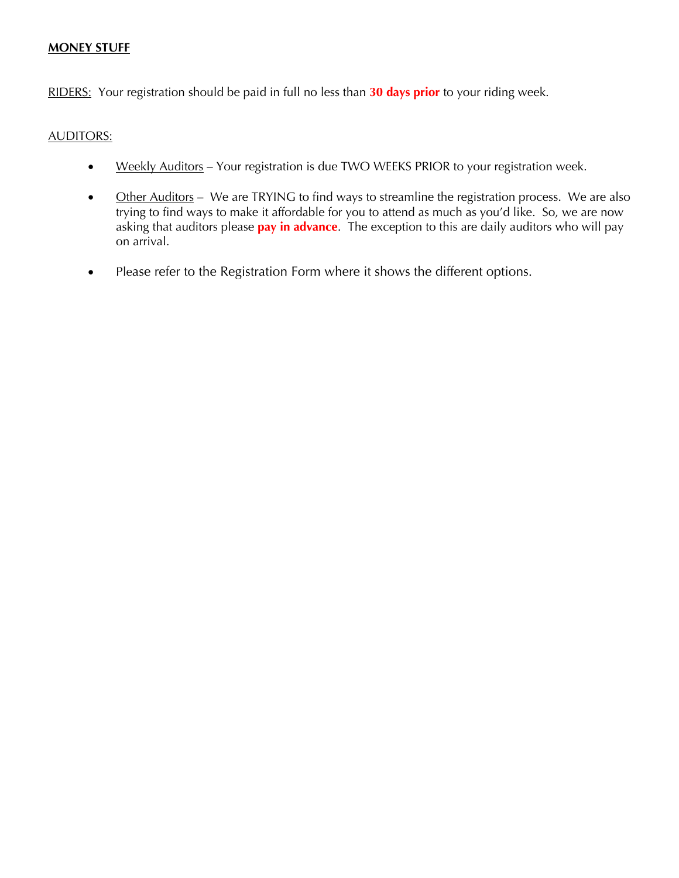### **MONEY STUFF**

RIDERS: Your registration should be paid in full no less than **30 days prior** to your riding week.

### AUDITORS:

- Weekly Auditors Your registration is due TWO WEEKS PRIOR to your registration week.
- Other Auditors We are TRYING to find ways to streamline the registration process. We are also trying to find ways to make it affordable for you to attend as much as you'd like. So, we are now asking that auditors please **pay in advance**. The exception to this are daily auditors who will pay on arrival.
- Please refer to the Registration Form where it shows the different options.